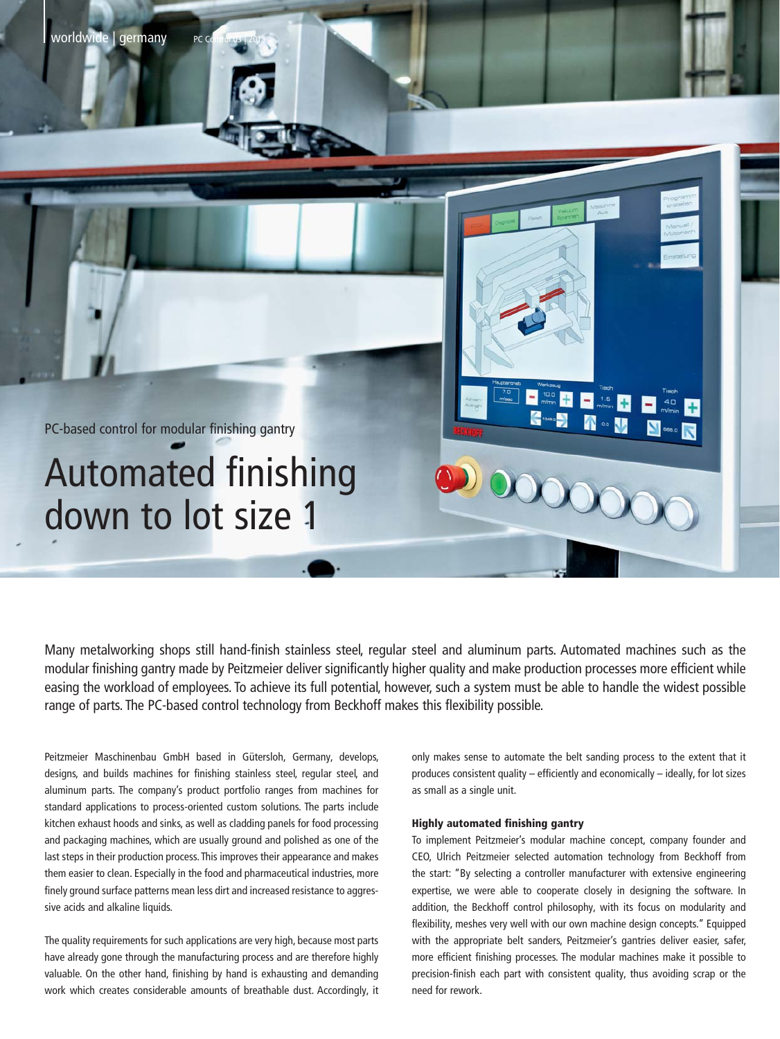

Many metalworking shops still hand-finish stainless steel, regular steel and aluminum parts. Automated machines such as the modular finishing gantry made by Peitzmeier deliver significantly higher quality and make production processes more efficient while easing the workload of employees. To achieve its full potential, however, such a system must be able to handle the widest possible range of parts. The PC-based control technology from Beckhoff makes this flexibility possible.

Peitzmeier Maschinenbau GmbH based in Gütersloh, Germany, develops, designs, and builds machines for finishing stainless steel, regular steel, and aluminum parts. The company's product portfolio ranges from machines for standard applications to process-oriented custom solutions. The parts include kitchen exhaust hoods and sinks, as well as cladding panels for food processing and packaging machines, which are usually ground and polished as one of the last steps in their production process. This improves their appearance and makes them easier to clean. Especially in the food and pharmaceutical industries, more finely ground surface patterns mean less dirt and increased resistance to aggressive acids and alkaline liquids.

The quality requirements for such applications are very high, because most parts have already gone through the manufacturing process and are therefore highly valuable. On the other hand, finishing by hand is exhausting and demanding work which creates considerable amounts of breathable dust. Accordingly, it

only makes sense to automate the belt sanding process to the extent that it produces consistent quality – efficiently and economically – ideally, for lot sizes as small as a single unit.

## Highly automated finishing gantry

To implement Peitzmeier's modular machine concept, company founder and CEO, Ulrich Peitzmeier selected automation technology from Beckhoff from the start: "By selecting a controller manufacturer with extensive engineering expertise, we were able to cooperate closely in designing the software. In addition, the Beckhoff control philosophy, with its focus on modularity and flexibility, meshes very well with our own machine design concepts." Equipped with the appropriate belt sanders, Peitzmeier's gantries deliver easier, safer, more efficient finishing processes. The modular machines make it possible to precision-finish each part with consistent quality, thus avoiding scrap or the need for rework.